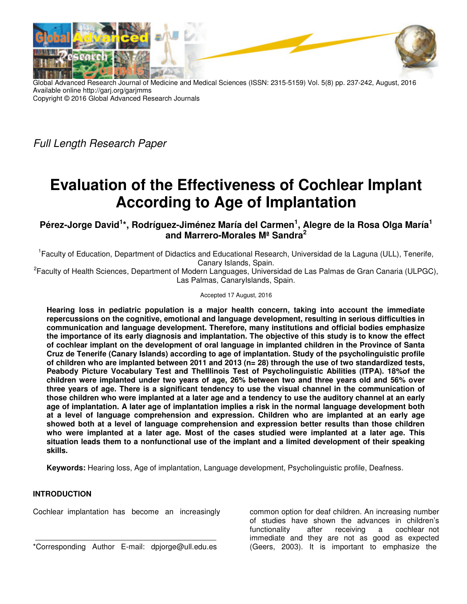

Global Advanced Research Journal of Medicine and Medical Sciences (ISSN: 2315-5159) Vol. 5(8) pp. 237-242, August, 2016 Available online http://garj.org/garjmms Copyright © 2016 Global Advanced Research Journals

Full Length Research Paper

# **Evaluation of the Effectiveness of Cochlear Implant According to Age of Implantation**

**Pérez-Jorge David<sup>1</sup> \*, Rodríguez-Jiménez María del Carmen<sup>1</sup> , Alegre de la Rosa Olga María<sup>1</sup> and Marrero-Morales Mª Sandra<sup>2</sup>**

<sup>1</sup> Faculty of Education, Department of Didactics and Educational Research, Universidad de la Laguna (ULL), Tenerife, Canary Islands, Spain.

<sup>2</sup> Faculty of Health Sciences, Department of Modern Languages, Universidad de Las Palmas de Gran Canaria (ULPGC), Las Palmas, CanaryIslands, Spain.

#### Accepted 17 August, 2016

**Hearing loss in pediatric population is a major health concern, taking into account the immediate repercussions on the cognitive, emotional and language development, resulting in serious difficulties in communication and language development. Therefore, many institutions and official bodies emphasize the importance of its early diagnosis and implantation. The objective of this study is to know the effect of cochlear implant on the development of oral language in implanted children in the Province of Santa Cruz de Tenerife (Canary Islands) according to age of implantation. Study of the psycholinguistic profile of children who are implanted between 2011 and 2013 (n= 28) through the use of two standardized tests, Peabody Picture Vocabulary Test and TheIllinois Test of Psycholinguistic Abilities (ITPA). 18%of the children were implanted under two years of age, 26% between two and three years old and 56% over three years of age. There is a significant tendency to use the visual channel in the communication of those children who were implanted at a later age and a tendency to use the auditory channel at an early age of implantation. A later age of implantation implies a risk in the normal language development both at a level of language comprehension and expression. Children who are implanted at an early age showed both at a level of language comprehension and expression better results than those children who were implanted at a later age. Most of the cases studied were implanted at a later age. This situation leads them to a nonfunctional use of the implant and a limited development of their speaking skills.** 

**Keywords:** Hearing loss, Age of implantation, Language development, Psycholinguistic profile, Deafness.

## **INTRODUCTION**

Cochlear implantation has become an increasingly

\*Corresponding Author E-mail: dpjorge@ull.edu.es

common option for deaf children. An increasing number of studies have shown the advances in children's functionality after receiving a cochlear not immediate and they are not as good as expected (Geers, 2003). It is important to emphasize the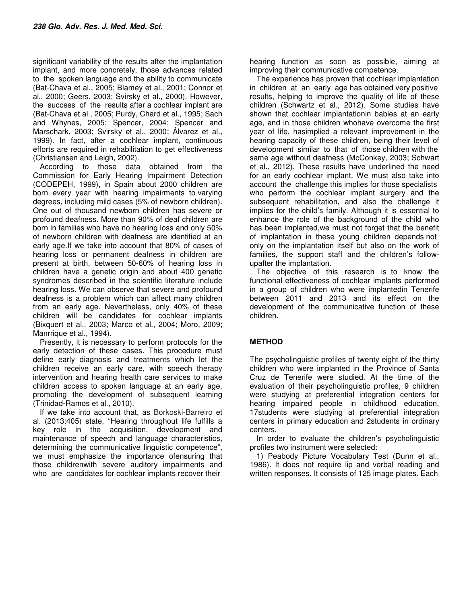significant variability of the results after the implantation implant, and more concretely, those advances related to the spoken language and the ability to communicate (Bat-Chava et al., 2005; Blamey et al., 2001; Connor et al., 2000; Geers, 2003; Svirsky et al., 2000). However, the success of the results after a cochlear implant are (Bat-Chava et al., 2005; Purdy, Chard et al., 1995; Sach and Whynes, 2005; Spencer, 2004; Spencer and Marschark, 2003; Svirsky et al., 2000; Álvarez et al., 1999). In fact, after a cochlear implant, continuous efforts are required in rehabilitation to get effectiveness (Christiansen and Leigh, 2002).

According to those data obtained from the Commission for Early Hearing Impairment Detection (CODEPEH, 1999), in Spain about 2000 children are born every year with hearing impairments to varying degrees, including mild cases (5% of newborn children). One out of thousand newborn children has severe or profound deafness. More than 90% of deaf children are born in families who have no hearing loss and only 50% of newborn children with deafness are identified at an early age.If we take into account that 80% of cases of hearing loss or permanent deafness in children are present at birth, between 50-60% of hearing loss in children have a genetic origin and about 400 genetic syndromes described in the scientific literature include hearing loss. We can observe that severe and profound deafness is a problem which can affect many children from an early age. Nevertheless, only 40% of these children will be candidates for cochlear implants (Bixquert et al., 2003; Marco et al., 2004; Moro, 2009; Manrrique et al., 1994).

Presently, it is necessary to perform protocols for the early detection of these cases. This procedure must define early diagnosis and treatments which let the children receive an early care, with speech therapy intervention and hearing health care services to make children access to spoken language at an early age, promoting the development of subsequent learning (Trinidad-Ramos et al., 2010).

If we take into account that, as Borkoski-Barreiro et al. (2013:405) state, "Hearing throughout life fulfills a key role in the acquisition, development and maintenance of speech and language characteristics, determining the communicative linguistic competence", we must emphasize the importance ofensuring that those childrenwith severe auditory impairments and who are candidates for cochlear implants recover their

hearing function as soon as possible, aiming at improving their communicative competence.

The experience has proven that cochlear implantation in children at an early age has obtained very positive results, helping to improve the quality of life of these children (Schwartz et al., 2012). Some studies have shown that cochlear implantationin babies at an early age, and in those children whohave overcome the first year of life, hasimplied a relevant improvement in the hearing capacity of these children, being their level of development similar to that of those children with the same age without deafness (McConkey, 2003; Schwart et al., 2012). These results have underlined the need for an early cochlear implant. We must also take into account the challenge this implies for those specialists who perform the cochlear implant surgery and the subsequent rehabilitation, and also the challenge it implies for the child's family. Although it is essential to enhance the role of the background of the child who has been implanted,we must not forget that the benefit of implantation in these young children depends not only on the implantation itself but also on the work of families, the support staff and the children's followupafter the implantation.

The objective of this research is to know the functional effectiveness of cochlear implants performed in a group of children who were implantedin Tenerife between 2011 and 2013 and its effect on the development of the communicative function of these children.

# **METHOD**

The psycholinguistic profiles of twenty eight of the thirty children who were implanted in the Province of Santa Cruz de Tenerife were studied. At the time of the evaluation of their psycholinguistic profiles, 9 children were studying at preferential integration centers for hearing impaired people in childhood education, 17students were studying at preferential integration centers in primary education and 2students in ordinary centers.

In order to evaluate the children's psycholinguistic profiles two instrument were selected:

1) Peabody Picture Vocabulary Test (Dunn et al., 1986). It does not require lip and verbal reading and written responses. It consists of 125 image plates. Each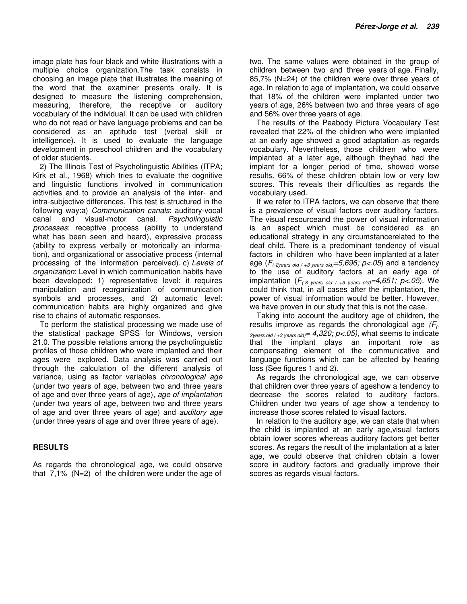image plate has four black and white illustrations with a multiple choice organization.The task consists in choosing an image plate that illustrates the meaning of the word that the examiner presents orally. It is designed to measure the listening comprehension, measuring, therefore, the receptive or auditory vocabulary of the individual. It can be used with children who do not read or have language problems and can be considered as an aptitude test (verbal skill or intelligence). It is used to evaluate the language development in preschool children and the vocabulary of older students.

2) The Illinois Test of Psycholinguistic Abilities (ITPA; Kirk et al., 1968) which tries to evaluate the cognitive and linguistic functions involved in communication activities and to provide an analysis of the inter- and intra-subjective differences. This test is structured in the following way:a) Communication canals: auditory-vocal canal and visual-motor canal. Psycholinguistic processes: receptive process (ability to understand what has been seen and heard), expressive process (ability to express verbally or motorically an information), and organizational or associative process (internal processing of the information perceived). c) Levels of organization: Level in which communication habits have been developed: 1) representative level: it requires manipulation and reorganization of communication symbols and processes, and 2) automatic level: communication habits are highly organized and give rise to chains of automatic responses.

To perform the statistical processing we made use of the statistical package SPSS for Windows, version 21.0. The possible relations among the psycholinguistic profiles of those children who were implanted and their ages were explored. Data analysis was carried out through the calculation of the different analysis of variance, using as factor variables chronological age (under two years of age, between two and three years of age and over three years of age), age of implantation (under two years of age, between two and three years of age and over three years of age) and auditory age (under three years of age and over three years of age).

### **RESULTS**

As regards the chronological age, we could observe that 7,1% (N=2) of the children were under the age of two. The same values were obtained in the group of children between two and three years of age. Finally, 85,7% (N=24) of the children were over three years of age. In relation to age of implantation, we could observe that 18% of the children were implanted under two years of age, 26% between two and three years of age and 56% over three years of age.

The results of the Peabody Picture Vocabulary Test revealed that 22% of the children who were implanted at an early age showed a good adaptation as regards vocabulary. Nevertheless, those children who were implanted at a later age, although theyhad had the implant for a longer period of time, showed worse results. 66% of these children obtain low or very low scores. This reveals their difficulties as regards the vocabulary used.

If we refer to ITPA factors, we can observe that there is a prevalence of visual factors over auditory factors. The visual resourceand the power of visual information is an aspect which must be considered as an educational strategy in any circumstancerelated to the deaf child. There is a predominant tendency of visual factors in children who have been implanted at a later age  $(F_{(-2)$ ears old / +3 years old) = 5,696; p < .05) and a tendency to the use of auditory factors at an early age of implantation  $(F_{(-3 \text{ years old / } +3 \text{ years old})} = 4,651; p < .05)$ . We could think that, in all cases after the implantation, the power of visual information would be better. However, we have proven in our study that this is not the case.

Taking into account the auditory age of children, the results improve as regards the chronological age  $(F_{\text{c}})$  $2\text{years old}/+3\text{ years old}$   $= 4,320; p<.05$ , what seems to indicate that the implant plays an important role as compensating element of the communicative and language functions which can be affected by hearing loss (See figures 1 and 2).

As regards the chronological age, we can observe that children over three years of ageshow a tendency to decrease the scores related to auditory factors. Children under two years of age show a tendency to increase those scores related to visual factors.

In relation to the auditory age, we can state that when the child is implanted at an early age,visual factors obtain lower scores whereas auditory factors get better scores. As regars the result of the implantation at a later age, we could observe that children obtain a lower score in auditory factors and gradually improve their scores as regards visual factors.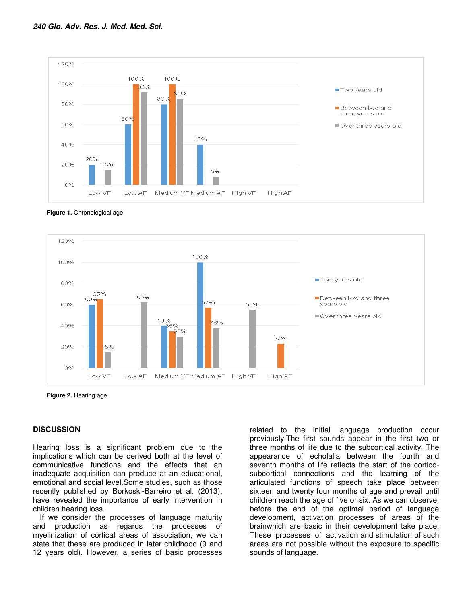

**Figure 1.** Chronological age



**Figure 2.** Hearing age

### **DISCUSSION**

Hearing loss is a significant problem due to the implications which can be derived both at the level of communicative functions and the effects that an inadequate acquisition can produce at an educational, emotional and social level.Some studies, such as those recently published by Borkoski-Barreiro et al. (2013), have revealed the importance of early intervention in children hearing loss.

If we consider the processes of language maturity and production as regards the processes of myelinization of cortical areas of association, we can state that these are produced in later childhood (9 and 12 years old). However, a series of basic processes

related to the initial language production occur previously.The first sounds appear in the first two or three months of life due to the subcortical activity. The appearance of echolalia between the fourth and seventh months of life reflects the start of the corticosubcortical connections and the learning of the articulated functions of speech take place between sixteen and twenty four months of age and prevail until children reach the age of five or six. As we can observe, before the end of the optimal period of language development, activation processes of areas of the brainwhich are basic in their development take place. These processes of activation and stimulation of such areas are not possible without the exposure to specific sounds of language.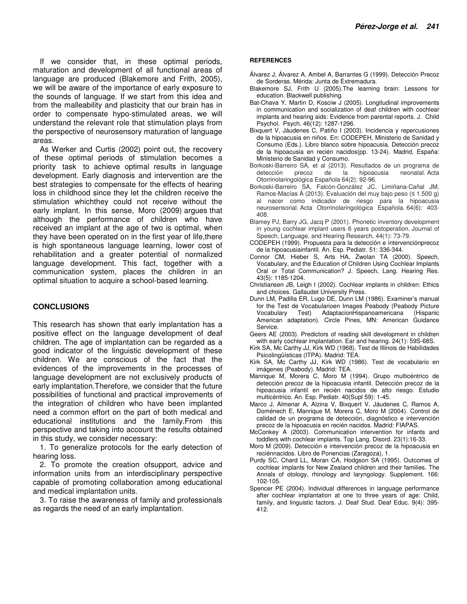If we consider that, in these optimal periods, maturation and development of all functional areas of language are produced (Blakemore and Frith, 2005), we will be aware of the importance of early exposure to the sounds of language. If we start from this idea and from the malleability and plasticity that our brain has in order to compensate hypo-stimulated areas, we will understand the relevant role that stimulation plays from the perspective of neurosensory maturation of language areas.

As Werker and Curtis (2002) point out, the recovery of these optimal periods of stimulation becomes a priority task to achieve optimal results in language development. Early diagnosis and intervention are the best strategies to compensate for the effects of hearing loss in childhood since they let the children receive the stimulation whichthey could not receive without the early implant. In this sense, Moro (2009) argues that although the performance of children who have received an implant at the age of two is optimal, when they have been operated on in the first year of life,there is high spontaneous language learning, lower cost of rehabilitation and a greater potential of normalized language development. This fact, together with a communication system, places the children in an optimal situation to acquire a school-based learning.

#### **CONCLUSIONS**

This research has shown that early implantation has a positive effect on the language development of deaf children. The age of implantation can be regarded as a good indicator of the linguistic development of these children. We are conscious of the fact that the evidences of the improvements in the processes of language development are not exclusively products of early implantation.Therefore, we consider that the future possibilities of functional and practical improvements of the integration of children who have been implanted need a common effort on the part of both medical and educational institutions and the family.From this perspective and taking into account the results obtained in this study, we consider necessary:

1. To generalize protocols for the early detection of hearing loss.

2. To promote the creation ofsupport, advice and information units from an interdisciplinary perspective capable of promoting collaboration among educational and medical implantation units.

3. To raise the awareness of family and professionals as regards the need of an early implantation.

#### **REFERENCES**

- Álvarez J, Álvarez A, Ambel A, Barrantes G (1999). Detección Precoz de Sorderas. Mérida: Junta de Extremadura.
- Blakemore SJ, Frith U (2005).The learning brain: Lessons for education. Blackwell publishing.
- Bat-Chava Y, Martin D, Kosciw J (2005). Longitudinal improvements in communication and socialization of deaf children with cochlear implants and hearing aids: Evidence from parental reports. J. Child Psychol. Psych. 46(12): 1287-1296.
- Bixquert V, Jáudenes C, Patiño I (2003). Incidencia y repercusiones de la hipoacusia en niños. En: CODEPEH, Ministerio de Sanidad y Consumo (Eds.). Libro blanco sobre hipoacusia. Detección precoz de la hipoacusia en recién nacidos(pp. 13-24). Madrid, España: Ministerio de Sanidad y Consumo.
- Borkoski-Barreiro SA, et al (2013). Resultados de un programa de detección precoz de la hipoacusia neonatal. Acta Otorrinolaringológica Española 64(2): 92-96.
- Borkoski-Barreiro SA, Falcón-González JC, Limiñana-Cañal JM, Ramos-Macías Á (2013). Evaluación del muy bajo peso (≤ 1.500 g) al nacer como indicador de riesgo para la hipoacusia neurosensorial. Acta Otorrinolaringológica Española. 64(6): 403- 408.
- Blamey PJ, Barry JG, Jacq P (2001). Phonetic inventory development in young cochlear implant users 6 years postoperation. Journal of Speech, Language, and Hearing Research, 44(1): 73-79.
- CODEPEH (1999). Propuesta para la detección e intervenciónprecoz de la hipoacusiainfantil. An. Esp. Pediatr. 51: 336-344.
- Connor CM, Hieber S, Arts HA, Zwolan TA (2000). Speech, Vocabulary, and the Education of Children Using Cochlear Implants Oral or Total Communication? J. Speech, Lang. Hearing Res. 43(5): 1185-1204.
- Christiansen JB, Leigh I (2002). Cochlear implants in children: Ethics and choices. Gallaudet University Press.
- Dunn LM, Padilla ER, Lugo DE, Dunn LM (1986). Examiner's manual for the Test de Vocabularioen Images Peabody (Peabody Picture Vocabulary Test) AdaptacionHispanoamericana (Hispanic American adaptation). Circle Pines, MN: American Guidance Service.
- Geers AE (2003). Predictors of reading skill development in children with early cochlear implantation. Ear and hearing. 24(1): 59S-68S.
- Kirk SA, Mc Carthy JJ, Kirk WD (1968). Test de Illinois de Habilidades Psicolingüísticas (ITPA). Madrid: TEA.
- Kirk SA, Mc Carthy JJ, Kirk WD (1986). Test de vocabulario en imágenes (Peabody). Madrid: TEA.
- Manrique M, Morera C, Moro M (1994). Grupo multicéntrico de detección precoz de la hipoacusia infantil. Detección precoz de la hipoacusia infantil en recién nacidos de alto riesgo. Estudio multicéntrico. An. Esp. Pediatr. 40(Supl 59): 1-45.
- Marco J, Almenar A, Alzina V, Bixquert V, Jáudenes C, Ramos A, Doménech E, Manrique M, Morera C, Moro M (2004). Control de calidad de un programa de detección, diagnóstico e intervención precoz de la hipoacusia en recién nacidos. Madrid: FIAPAS.
- McConkey A (2003). Communication intervention for infants and toddlers with cochlear implants. Top Lang. Disord. 23(1):16-33.
- Moro M (2009). Detección e intervención precoz de la hipoacusia en reciénnacidos. Libro de Ponencias (Zaragoza), 1.
- Purdy SC, Chard LL, Moran CA, Hodgson SA (1995). Outcomes of cochlear implants for New Zealand children and their families. The Annals of otology, rhinology and laryngology. Supplement. 166: 102-105.
- Spencer PE (2004). Individual differences in language performance after cochlear implantation at one to three years of age: Child, family, and linguistic factors. J. Deaf Stud. Deaf Educ. 9(4): 395- 412.